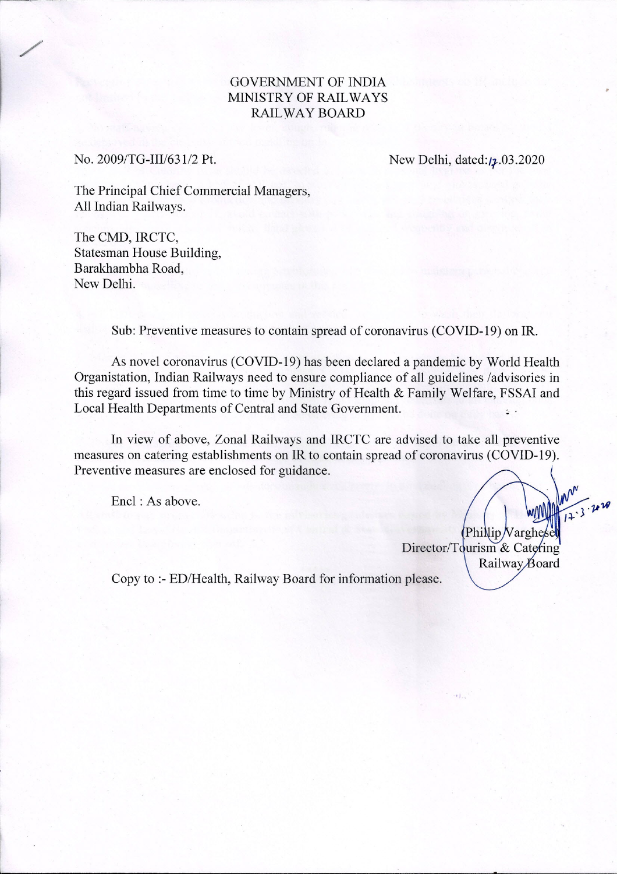## GOVERNMENT OF INDIA MINISTRY OF RAIL WAYS RAILWAY BOARD

No. 2009/TG-III/631/2 Pt.

/

New Delhi, dated:/2.03.2020

The Principal Chief Commercial Managers, All Indian Railways.

The CMD, IRCTC, Statesman House Building, Barakhambha Road, New Delhi.

Sub: Preventive measures to contain spread of coronavirus (COVID-19) on IR.

As novel coronavirus (COVID-19) has been declared a pandemic by World Health Organistation, Indian Railways need to ensure compliance of all guidelines /advisories in this regard issued from time to time by Ministry of Health & Family Welfare, FSSAI and Local Health Departments of Central and State Government. \_

In view of above, Zonal Railways and IRCTC are advised to take all preventive measures on catering establishments on IR to contain spread of coronavirus (COVID-19). Preventive measures are enclosed for guidance.

Encl : As above.

Philip Varghes Director/Tourism & Catering Railway Board

*'J,.,*

Copy to :- ED/Health, Railway Board for information please.